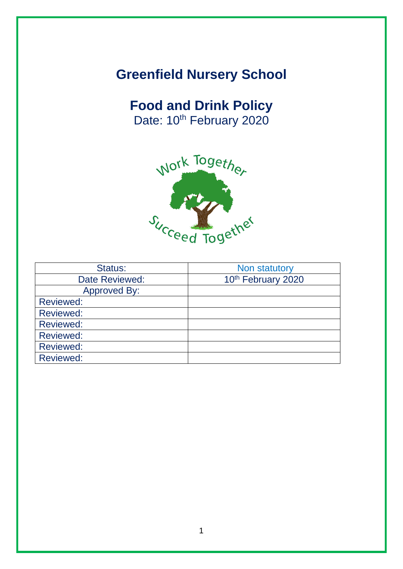# **Greenfield Nursery School**

# **Food and Drink Policy**

Date: 10<sup>th</sup> February 2020



| Status:          | Non statutory      |  |
|------------------|--------------------|--|
| Date Reviewed:   | 10th February 2020 |  |
| Approved By:     |                    |  |
| Reviewed:        |                    |  |
| <b>Reviewed:</b> |                    |  |
| <b>Reviewed:</b> |                    |  |
| <b>Reviewed:</b> |                    |  |
| <b>Reviewed:</b> |                    |  |
| <b>Reviewed:</b> |                    |  |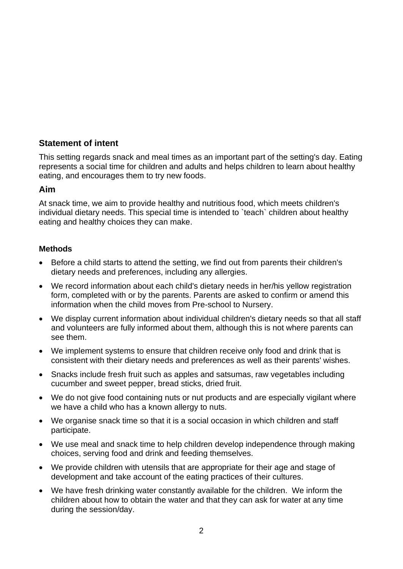## **Statement of intent**

This setting regards snack and meal times as an important part of the setting's day. Eating represents a social time for children and adults and helps children to learn about healthy eating, and encourages them to try new foods.

### **Aim**

At snack time, we aim to provide healthy and nutritious food, which meets children's individual dietary needs. This special time is intended to `teach` children about healthy eating and healthy choices they can make.

#### **Methods**

- Before a child starts to attend the setting, we find out from parents their children's dietary needs and preferences, including any allergies.
- We record information about each child's dietary needs in her/his yellow registration form, completed with or by the parents. Parents are asked to confirm or amend this information when the child moves from Pre-school to Nursery.
- We display current information about individual children's dietary needs so that all staff and volunteers are fully informed about them, although this is not where parents can see them.
- We implement systems to ensure that children receive only food and drink that is consistent with their dietary needs and preferences as well as their parents' wishes.
- Snacks include fresh fruit such as apples and satsumas, raw vegetables including cucumber and sweet pepper, bread sticks, dried fruit.
- We do not give food containing nuts or nut products and are especially vigilant where we have a child who has a known allergy to nuts.
- We organise snack time so that it is a social occasion in which children and staff participate.
- We use meal and snack time to help children develop independence through making choices, serving food and drink and feeding themselves.
- We provide children with utensils that are appropriate for their age and stage of development and take account of the eating practices of their cultures.
- We have fresh drinking water constantly available for the children. We inform the children about how to obtain the water and that they can ask for water at any time during the session/day.